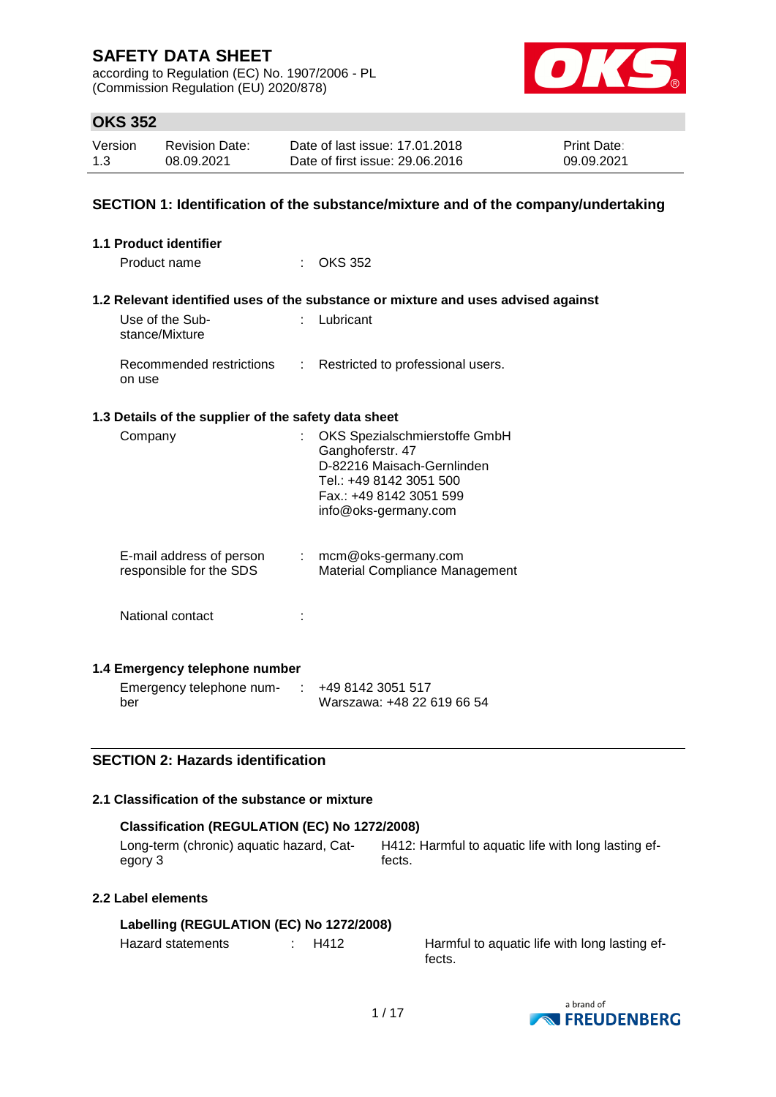according to Regulation (EC) No. 1907/2006 - PL (Commission Regulation (EU) 2020/878)



### **OKS 352**

| Version | <b>Revision Date:</b> | Date of last issue: 17.01.2018  | <b>Print Date:</b> |
|---------|-----------------------|---------------------------------|--------------------|
| 1.3     | 08.09.2021            | Date of first issue: 29,06,2016 | 09.09.2021         |

### **SECTION 1: Identification of the substance/mixture and of the company/undertaking**

| 1.1 Product identifier                               |                           |                                                                                                                                                               |
|------------------------------------------------------|---------------------------|---------------------------------------------------------------------------------------------------------------------------------------------------------------|
| Product name                                         |                           | <b>OKS 352</b>                                                                                                                                                |
|                                                      |                           | 1.2 Relevant identified uses of the substance or mixture and uses advised against                                                                             |
| Use of the Sub-<br>stance/Mixture                    |                           | Lubricant                                                                                                                                                     |
| Recommended restrictions<br>on use                   |                           | : Restricted to professional users.                                                                                                                           |
| 1.3 Details of the supplier of the safety data sheet |                           |                                                                                                                                                               |
| Company                                              |                           | OKS Spezialschmierstoffe GmbH<br>Ganghoferstr. 47<br>D-82216 Maisach-Gernlinden<br>Tel.: +49 8142 3051 500<br>Fax.: +49 8142 3051 599<br>info@oks-germany.com |
| E-mail address of person<br>responsible for the SDS  | $\mathbb{R}^{\mathbb{Z}}$ | mcm@oks-germany.com<br>Material Compliance Management                                                                                                         |
| National contact                                     |                           |                                                                                                                                                               |
| 1.4 Emergency telephone number                       |                           |                                                                                                                                                               |
| Emergency telephone num-<br>ber                      | $\sim 10^7$               | +49 8142 3051 517<br>Warszawa: +48 22 619 66 54                                                                                                               |
| <b>SECTION 2: Hazards identification</b>             |                           |                                                                                                                                                               |
| 2.4 Closeification of the cubetanes or mivture       |                           |                                                                                                                                                               |

### **2.1 Classification of the substance or mixture**

| Classification (REGULATION (EC) No 1272/2008) |                                                     |  |  |  |  |  |
|-----------------------------------------------|-----------------------------------------------------|--|--|--|--|--|
| Long-term (chronic) aguatic hazard. Cat-      | H412: Harmful to aquatic life with long lasting ef- |  |  |  |  |  |
| eaorv 3                                       | fects.                                              |  |  |  |  |  |

### **2.2 Label elements**

### **Labelling (REGULATION (EC) No 1272/2008)**

Hazard statements : H412 Harmful to aquatic life with long lasting effects.

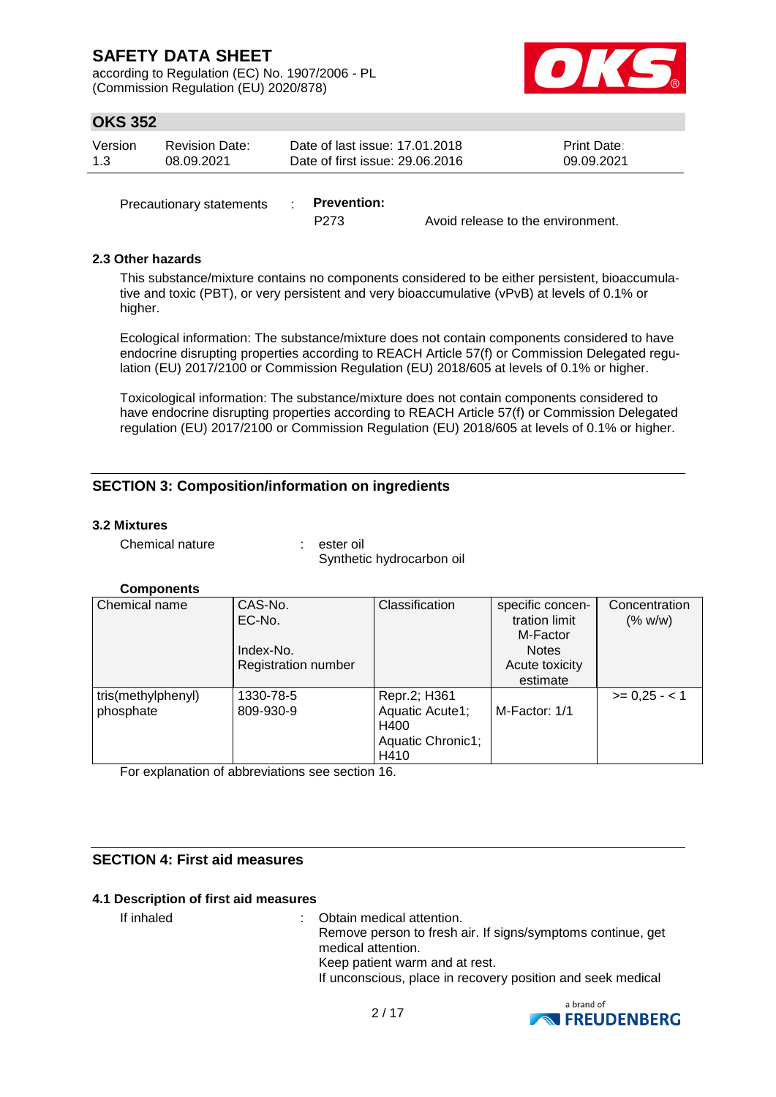according to Regulation (EC) No. 1907/2006 - PL (Commission Regulation (EU) 2020/878)



### **OKS 352**

| Version | Revision Date: | Date of last issue: 17.01.2018  | <b>Print Date:</b> |
|---------|----------------|---------------------------------|--------------------|
| -1.3    | 08.09.2021     | Date of first issue: 29,06,2016 | 09.09.2021         |
|         |                |                                 |                    |

Precautionary statements : **Prevention:** 

P273 Avoid release to the environment.

### **2.3 Other hazards**

This substance/mixture contains no components considered to be either persistent, bioaccumulative and toxic (PBT), or very persistent and very bioaccumulative (vPvB) at levels of 0.1% or higher.

Ecological information: The substance/mixture does not contain components considered to have endocrine disrupting properties according to REACH Article 57(f) or Commission Delegated regulation (EU) 2017/2100 or Commission Regulation (EU) 2018/605 at levels of 0.1% or higher.

Toxicological information: The substance/mixture does not contain components considered to have endocrine disrupting properties according to REACH Article 57(f) or Commission Delegated regulation (EU) 2017/2100 or Commission Regulation (EU) 2018/605 at levels of 0.1% or higher.

### **SECTION 3: Composition/information on ingredients**

### **3.2 Mixtures**

Chemical nature : ester oil

Synthetic hydrocarbon oil

### **Components**

| Chemical name      | CAS-No.                    | Classification    | specific concen- | Concentration |
|--------------------|----------------------------|-------------------|------------------|---------------|
|                    | EC-No.                     |                   | tration limit    | (% w/w)       |
|                    |                            |                   | M-Factor         |               |
|                    | Index-No.                  |                   | <b>Notes</b>     |               |
|                    | <b>Registration number</b> |                   | Acute toxicity   |               |
|                    |                            |                   | estimate         |               |
| tris(methylphenyl) | 1330-78-5                  | Repr.2; H361      |                  | $>= 0.25 - 1$ |
| phosphate          | 809-930-9                  | Aquatic Acute1;   | M-Factor: 1/1    |               |
|                    |                            | H400              |                  |               |
|                    |                            | Aquatic Chronic1; |                  |               |
|                    |                            | H410              |                  |               |

For explanation of abbreviations see section 16.

### **SECTION 4: First aid measures**

#### **4.1 Description of first aid measures**

If inhaled : Obtain medical attention. Remove person to fresh air. If signs/symptoms continue, get medical attention. Keep patient warm and at rest. If unconscious, place in recovery position and seek medical

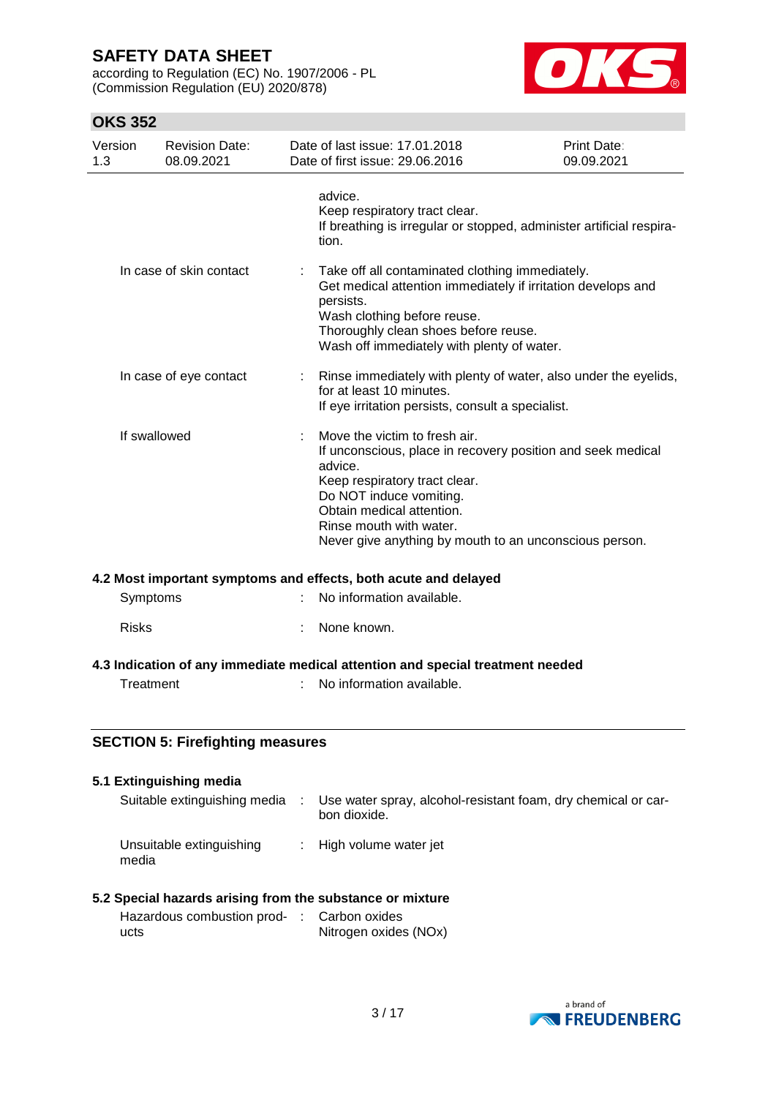according to Regulation (EC) No. 1907/2006 - PL (Commission Regulation (EU) 2020/878)



### **OKS 352**

| Version<br>1.3 | <b>Revision Date:</b><br>08.09.2021 | Date of last issue: 17,01,2018<br>Date of first issue: 29.06.2016                                                                                                                                                                                                                     | Print Date:<br>09.09.2021 |
|----------------|-------------------------------------|---------------------------------------------------------------------------------------------------------------------------------------------------------------------------------------------------------------------------------------------------------------------------------------|---------------------------|
|                |                                     | advice.<br>Keep respiratory tract clear.<br>If breathing is irregular or stopped, administer artificial respira-<br>tion.                                                                                                                                                             |                           |
|                | In case of skin contact             | Take off all contaminated clothing immediately.<br>Get medical attention immediately if irritation develops and<br>persists.<br>Wash clothing before reuse.<br>Thoroughly clean shoes before reuse.<br>Wash off immediately with plenty of water.                                     |                           |
|                | In case of eye contact              | Rinse immediately with plenty of water, also under the eyelids,<br>for at least 10 minutes.<br>If eye irritation persists, consult a specialist.                                                                                                                                      |                           |
| If swallowed   |                                     | Move the victim to fresh air.<br>If unconscious, place in recovery position and seek medical<br>advice.<br>Keep respiratory tract clear.<br>Do NOT induce vomiting.<br>Obtain medical attention.<br>Rinse mouth with water.<br>Never give anything by mouth to an unconscious person. |                           |

#### **4.2 Most important symptoms and effects, both acute and delayed**

| Symptoms     | : No information available. |
|--------------|-----------------------------|
| <b>Risks</b> | : None known.               |

### **4.3 Indication of any immediate medical attention and special treatment needed**

- 
- Treatment : No information available.

### **SECTION 5: Firefighting measures**

| 5.1 Extinguishing media           |                                                                               |
|-----------------------------------|-------------------------------------------------------------------------------|
| Suitable extinguishing media      | Use water spray, alcohol-resistant foam, dry chemical or car-<br>bon dioxide. |
| Unsuitable extinguishing<br>media | : High volume water jet                                                       |

### **5.2 Special hazards arising from the substance or mixture**

| Hazardous combustion prod- : Carbon oxides |                       |
|--------------------------------------------|-----------------------|
| ucts                                       | Nitrogen oxides (NOx) |

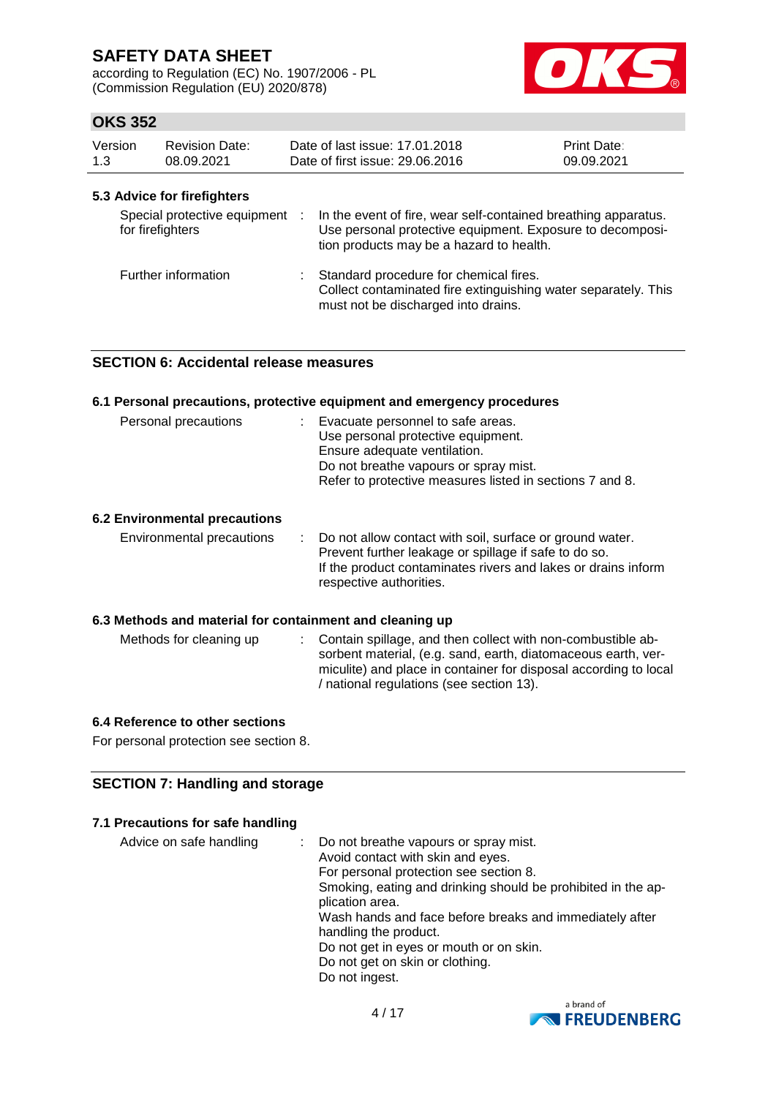according to Regulation (EC) No. 1907/2006 - PL (Commission Regulation (EU) 2020/878)



### **OKS 352**

| Version<br>1.3 | <b>Revision Date:</b><br>08.09.2021                | Date of last issue: 17.01.2018<br>Date of first issue: 29,06,2016                                                                                                       | <b>Print Date:</b><br>09.09.2021 |
|----------------|----------------------------------------------------|-------------------------------------------------------------------------------------------------------------------------------------------------------------------------|----------------------------------|
|                | 5.3 Advice for firefighters                        |                                                                                                                                                                         |                                  |
|                | Special protective equipment :<br>for firefighters | In the event of fire, wear self-contained breathing apparatus.<br>Use personal protective equipment. Exposure to decomposi-<br>tion products may be a hazard to health. |                                  |
|                | Further information                                | Standard procedure for chemical fires.<br>Collect contaminated fire extinguishing water separately. This<br>must not be discharged into drains.                         |                                  |

### **SECTION 6: Accidental release measures**

|                                                          | 6.1 Personal precautions, protective equipment and emergency procedures                                                                                                                                                                        |
|----------------------------------------------------------|------------------------------------------------------------------------------------------------------------------------------------------------------------------------------------------------------------------------------------------------|
| Personal precautions                                     | : Evacuate personnel to safe areas.<br>Use personal protective equipment.<br>Ensure adequate ventilation.<br>Do not breathe vapours or spray mist.<br>Refer to protective measures listed in sections 7 and 8.                                 |
| <b>6.2 Environmental precautions</b>                     |                                                                                                                                                                                                                                                |
| Environmental precautions                                | : Do not allow contact with soil, surface or ground water.<br>Prevent further leakage or spillage if safe to do so.<br>If the product contaminates rivers and lakes or drains inform<br>respective authorities.                                |
| 6.3 Methods and material for containment and cleaning up |                                                                                                                                                                                                                                                |
| Methods for cleaning up                                  | : Contain spillage, and then collect with non-combustible ab-<br>sorbent material, (e.g. sand, earth, diatomaceous earth, ver-<br>miculite) and place in container for disposal according to local<br>/ national regulations (see section 13). |

#### **6.4 Reference to other sections**

For personal protection see section 8.

### **SECTION 7: Handling and storage**

### **7.1 Precautions for safe handling**

| Advice on safe handling | Do not breathe vapours or spray mist.                        |
|-------------------------|--------------------------------------------------------------|
|                         | Avoid contact with skin and eyes.                            |
|                         | For personal protection see section 8.                       |
|                         | Smoking, eating and drinking should be prohibited in the ap- |
|                         | plication area.                                              |
|                         | Wash hands and face before breaks and immediately after      |
|                         | handling the product.                                        |
|                         | Do not get in eyes or mouth or on skin.                      |
|                         | Do not get on skin or clothing.                              |
|                         | Do not ingest.                                               |

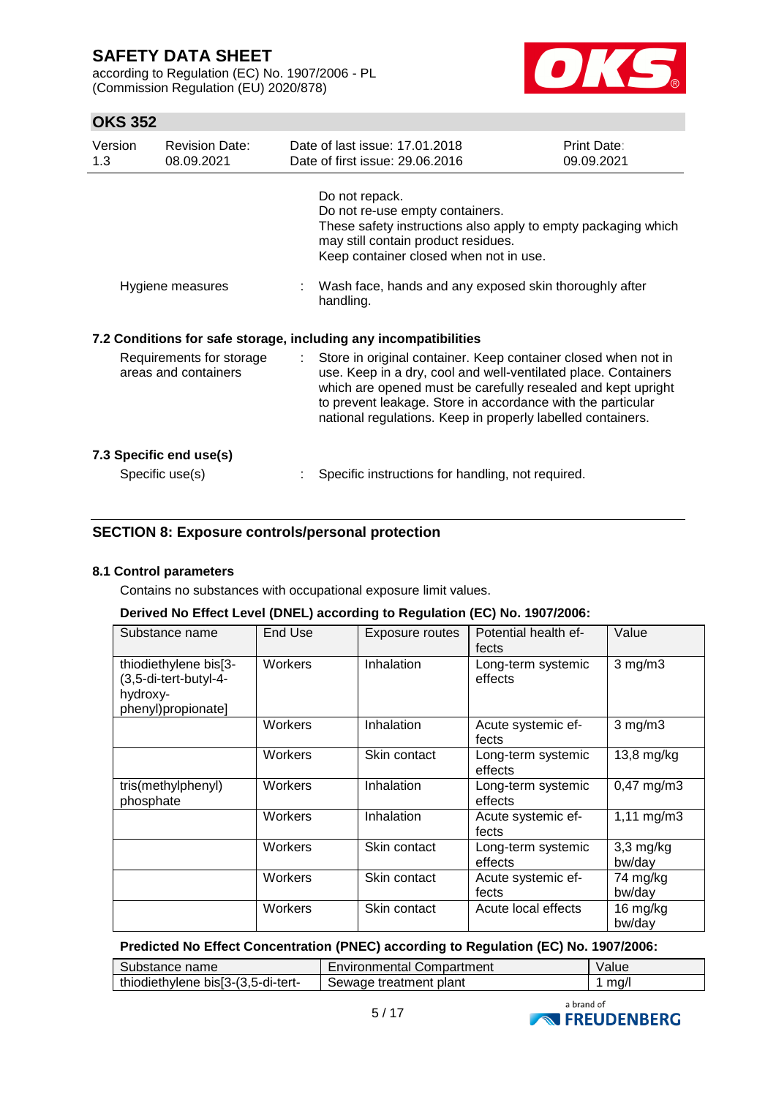according to Regulation (EC) No. 1907/2006 - PL (Commission Regulation (EU) 2020/878)



### **OKS 352**

| Version<br>1.3                                   | <b>Revision Date:</b><br>08.09.2021 |    | Date of last issue: 17.01.2018<br>Date of first issue: 29,06,2016                                                                                                                                                                                                                                                              | Print Date:<br>09.09.2021 |
|--------------------------------------------------|-------------------------------------|----|--------------------------------------------------------------------------------------------------------------------------------------------------------------------------------------------------------------------------------------------------------------------------------------------------------------------------------|---------------------------|
|                                                  |                                     |    | Do not repack.<br>Do not re-use empty containers.<br>These safety instructions also apply to empty packaging which<br>may still contain product residues.<br>Keep container closed when not in use.                                                                                                                            |                           |
|                                                  | Hygiene measures                    |    | : Wash face, hands and any exposed skin thoroughly after<br>handling.                                                                                                                                                                                                                                                          |                           |
|                                                  |                                     |    | 7.2 Conditions for safe storage, including any incompatibilities                                                                                                                                                                                                                                                               |                           |
| Requirements for storage<br>areas and containers |                                     | t. | Store in original container. Keep container closed when not in<br>use. Keep in a dry, cool and well-ventilated place. Containers<br>which are opened must be carefully resealed and kept upright<br>to prevent leakage. Store in accordance with the particular<br>national regulations. Keep in properly labelled containers. |                           |
|                                                  | 7.3 Specific end use(s)             |    |                                                                                                                                                                                                                                                                                                                                |                           |
|                                                  | Specific use(s)                     |    | Specific instructions for handling, not required.                                                                                                                                                                                                                                                                              |                           |

### **SECTION 8: Exposure controls/personal protection**

### **8.1 Control parameters**

Contains no substances with occupational exposure limit values.

#### **Derived No Effect Level (DNEL) according to Regulation (EC) No. 1907/2006:**

| Substance name                                                                   | End Use | Exposure routes | Potential health ef-<br>fects | Value                   |
|----------------------------------------------------------------------------------|---------|-----------------|-------------------------------|-------------------------|
| thiodiethylene bis[3-<br>(3,5-di-tert-butyl-4-<br>hydroxy-<br>phenyl)propionate] | Workers | Inhalation      | Long-term systemic<br>effects | $3$ mg/m $3$            |
|                                                                                  | Workers | Inhalation      | Acute systemic ef-<br>fects   | $3$ mg/m $3$            |
|                                                                                  | Workers | Skin contact    | Long-term systemic<br>effects | 13,8 mg/kg              |
| tris(methylphenyl)<br>phosphate                                                  | Workers | Inhalation      | Long-term systemic<br>effects | $0,47 \text{ mg/m}$ 3   |
|                                                                                  | Workers | Inhalation      | Acute systemic ef-<br>fects   | $1,11 \, \text{mg/m}$ 3 |
|                                                                                  | Workers | Skin contact    | Long-term systemic<br>effects | $3,3$ mg/kg<br>bw/day   |
|                                                                                  | Workers | Skin contact    | Acute systemic ef-<br>fects   | 74 mg/kg<br>bw/day      |
|                                                                                  | Workers | Skin contact    | Acute local effects           | 16 mg/kg<br>bw/day      |

#### **Predicted No Effect Concentration (PNEC) according to Regulation (EC) No. 1907/2006:**

| Substance name                     | <b>Environmental Compartment</b> | Value |
|------------------------------------|----------------------------------|-------|
| thiodiethylene bis[3-(3,5-di-tert- | Sewage treatment plant           | ma/l  |

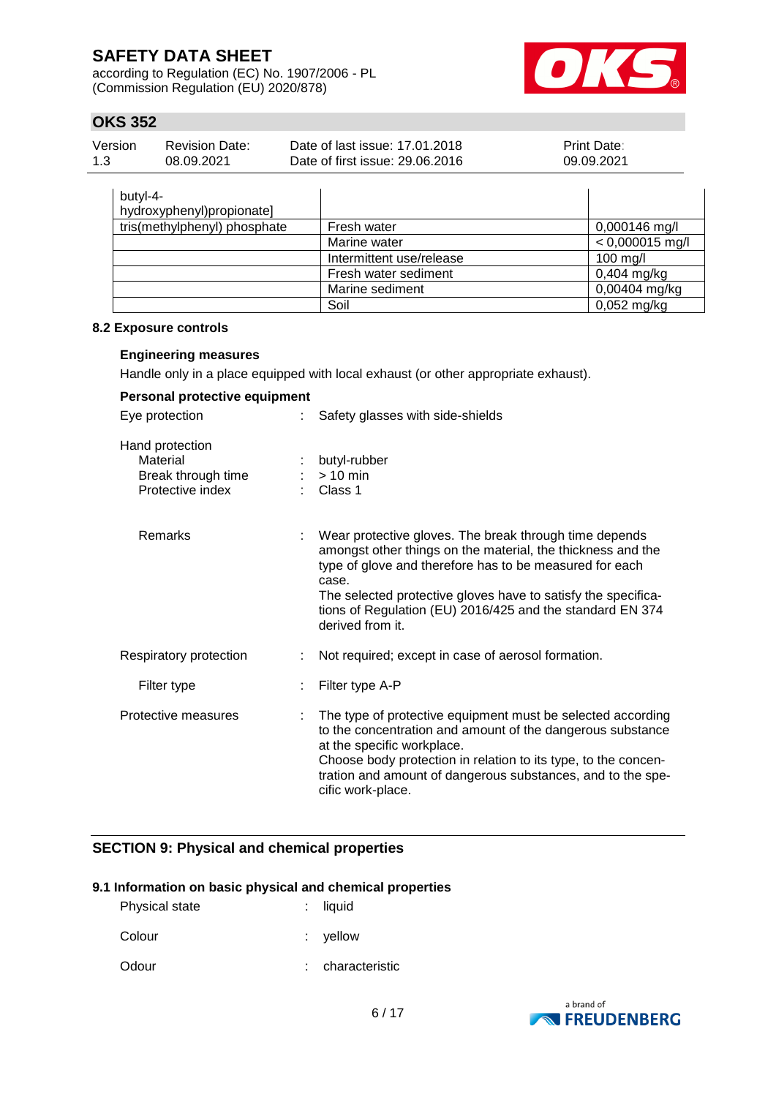according to Regulation (EC) No. 1907/2006 - PL (Commission Regulation (EU) 2020/878)



### **OKS 352**

| Version | <b>Revision Date:</b> | Date of last issue: 17.01.2018  | <b>Print Date:</b> |
|---------|-----------------------|---------------------------------|--------------------|
| 1.3     | 08.09.2021            | Date of first issue: 29,06,2016 | 09.09.2021         |

| butyl-4-<br>hydroxyphenyl)propionate] |                          |                   |
|---------------------------------------|--------------------------|-------------------|
| tris(methylphenyl) phosphate          | Fresh water              | $0,000146$ mg/l   |
|                                       | Marine water             | $< 0,000015$ mg/l |
|                                       | Intermittent use/release | 100 mg/l          |
|                                       | Fresh water sediment     | $0,404$ mg/kg     |
|                                       | Marine sediment          | 0,00404 mg/kg     |
|                                       | Soil                     | $0,052$ mg/kg     |

#### **8.2 Exposure controls**

#### **Engineering measures**

Handle only in a place equipped with local exhaust (or other appropriate exhaust).

| Personal protective equipment                                         |                                                                                                                                                                                                                                                                                                                                             |
|-----------------------------------------------------------------------|---------------------------------------------------------------------------------------------------------------------------------------------------------------------------------------------------------------------------------------------------------------------------------------------------------------------------------------------|
| Eye protection                                                        | Safety glasses with side-shields                                                                                                                                                                                                                                                                                                            |
| Hand protection<br>Material<br>Break through time<br>Protective index | butyl-rubber<br>$> 10$ min<br>$\therefore$ Class 1                                                                                                                                                                                                                                                                                          |
| Remarks                                                               | Wear protective gloves. The break through time depends<br>amongst other things on the material, the thickness and the<br>type of glove and therefore has to be measured for each<br>case.<br>The selected protective gloves have to satisfy the specifica-<br>tions of Regulation (EU) 2016/425 and the standard EN 374<br>derived from it. |
| Respiratory protection                                                | Not required; except in case of aerosol formation.                                                                                                                                                                                                                                                                                          |
| Filter type                                                           | Filter type A-P                                                                                                                                                                                                                                                                                                                             |
| Protective measures                                                   | The type of protective equipment must be selected according<br>to the concentration and amount of the dangerous substance<br>at the specific workplace.<br>Choose body protection in relation to its type, to the concen-<br>tration and amount of dangerous substances, and to the spe-<br>cific work-place.                               |

### **SECTION 9: Physical and chemical properties**

#### **9.1 Information on basic physical and chemical properties**

| Physical state | $:$ liquid |
|----------------|------------|
| Colour         | $:$ yellow |

Odour : characteristic

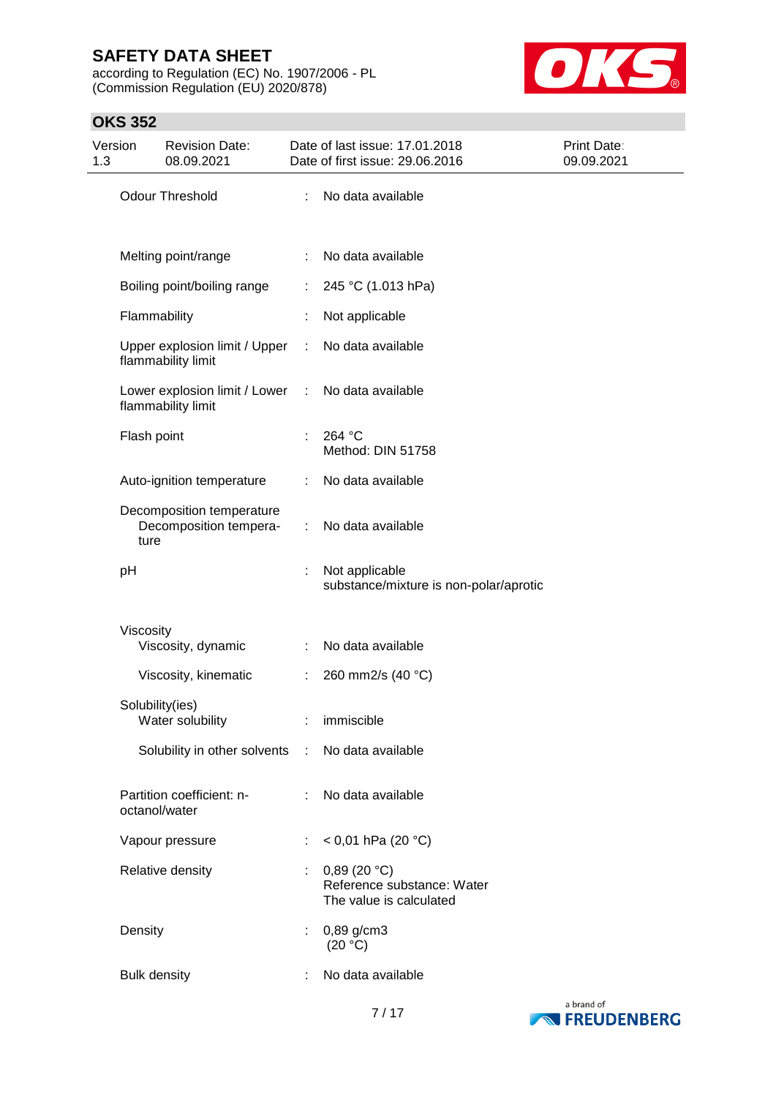according to Regulation (EC) No. 1907/2006 - PL (Commission Regulation (EU) 2020/878)



### **OKS 352**

| Version<br>1.3 |                     | <b>Revision Date:</b><br>08.09.2021                   |                               | Date of last issue: 17.01.2018<br>Date of first issue: 29.06.2016    | Print Date:<br>09.09.2021 |
|----------------|---------------------|-------------------------------------------------------|-------------------------------|----------------------------------------------------------------------|---------------------------|
|                |                     | Odour Threshold                                       | ÷                             | No data available                                                    |                           |
|                |                     | Melting point/range                                   |                               | : No data available                                                  |                           |
|                |                     | Boiling point/boiling range                           | ÷.                            | 245 °C (1.013 hPa)                                                   |                           |
|                | Flammability        |                                                       |                               | Not applicable                                                       |                           |
|                |                     | Upper explosion limit / Upper<br>flammability limit   | ÷                             | No data available                                                    |                           |
|                |                     | Lower explosion limit / Lower :<br>flammability limit |                               | No data available                                                    |                           |
|                | Flash point         |                                                       |                               | : 264 °C<br>Method: DIN 51758                                        |                           |
|                |                     | Auto-ignition temperature                             | ÷                             | No data available                                                    |                           |
|                | ture                | Decomposition temperature<br>Decomposition tempera-   | ÷                             | No data available                                                    |                           |
|                | pH                  |                                                       |                               | Not applicable<br>substance/mixture is non-polar/aprotic             |                           |
|                | Viscosity           |                                                       |                               |                                                                      |                           |
|                |                     | Viscosity, dynamic                                    | $\mathbb{R}^n$                | No data available                                                    |                           |
|                |                     | Viscosity, kinematic                                  | ÷                             | 260 mm2/s (40 °C)                                                    |                           |
|                | Solubility(ies)     | Water solubility                                      |                               | : immiscible                                                         |                           |
|                |                     | Solubility in other solvents : No data available      |                               |                                                                      |                           |
|                | octanol/water       | Partition coefficient: n-                             |                               | : No data available                                                  |                           |
|                |                     | Vapour pressure                                       | $\mathcal{I}^{\mathcal{I}}$ . | < 0,01 hPa (20 $^{\circ}$ C)                                         |                           |
|                |                     | Relative density                                      |                               | 0,89(20 °C)<br>Reference substance: Water<br>The value is calculated |                           |
|                | Density             |                                                       | $\mathbb{Z}^{\mathbb{Z}}$     | $0,89$ g/cm3<br>(20 °C)                                              |                           |
|                | <b>Bulk density</b> |                                                       |                               | No data available                                                    |                           |

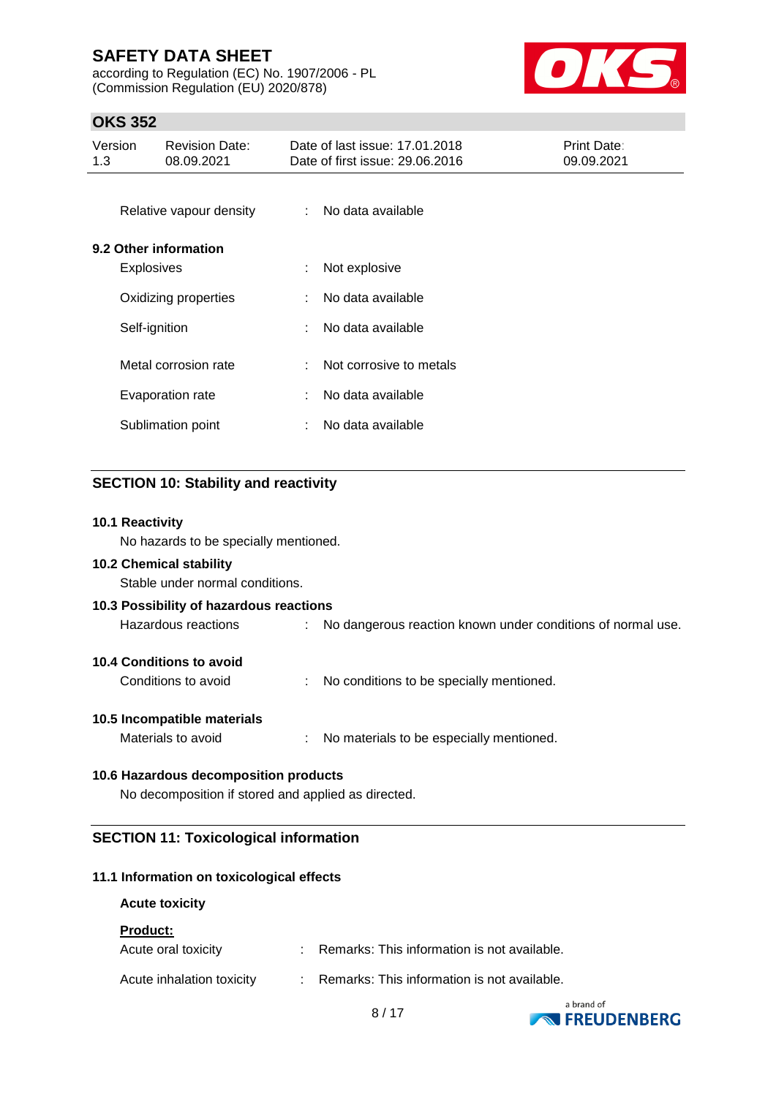according to Regulation (EC) No. 1907/2006 - PL (Commission Regulation (EU) 2020/878)



### **OKS 352**

| Version<br>1.3 |                   | <b>Revision Date:</b><br>08.09.2021 |                           | Date of last issue: 17.01.2018<br>Date of first issue: 29.06.2016 | Print Date:<br>09.09.2021 |
|----------------|-------------------|-------------------------------------|---------------------------|-------------------------------------------------------------------|---------------------------|
|                |                   | Relative vapour density             | $\mathbb{R}^{\mathbb{Z}}$ | No data available                                                 |                           |
|                |                   | 9.2 Other information               |                           |                                                                   |                           |
|                | <b>Explosives</b> |                                     | ÷                         | Not explosive                                                     |                           |
|                |                   | Oxidizing properties                | ÷.                        | No data available                                                 |                           |
|                | Self-ignition     |                                     | ÷                         | No data available                                                 |                           |
|                |                   | Metal corrosion rate                | ÷.                        | Not corrosive to metals                                           |                           |
|                |                   | Evaporation rate                    | ÷.                        | No data available                                                 |                           |
|                |                   | Sublimation point                   | ÷.                        | No data available                                                 |                           |
|                |                   |                                     |                           |                                                                   |                           |

### **SECTION 10: Stability and reactivity**

# **10.1 Reactivity** No hazards to be specially mentioned. **10.2 Chemical stability** Stable under normal conditions. **10.3 Possibility of hazardous reactions** Hazardous reactions : No dangerous reaction known under conditions of normal use. **10.4 Conditions to avoid** Conditions to avoid : No conditions to be specially mentioned. **10.5 Incompatible materials** Materials to avoid : No materials to be especially mentioned. **10.6 Hazardous decomposition products** No decomposition if stored and applied as directed.

### **SECTION 11: Toxicological information**

### **11.1 Information on toxicological effects**

#### **Acute toxicity**

#### **Product:**

| Acute oral toxicity       | : Remarks: This information is not available. |
|---------------------------|-----------------------------------------------|
| Acute inhalation toxicity | : Remarks: This information is not available. |

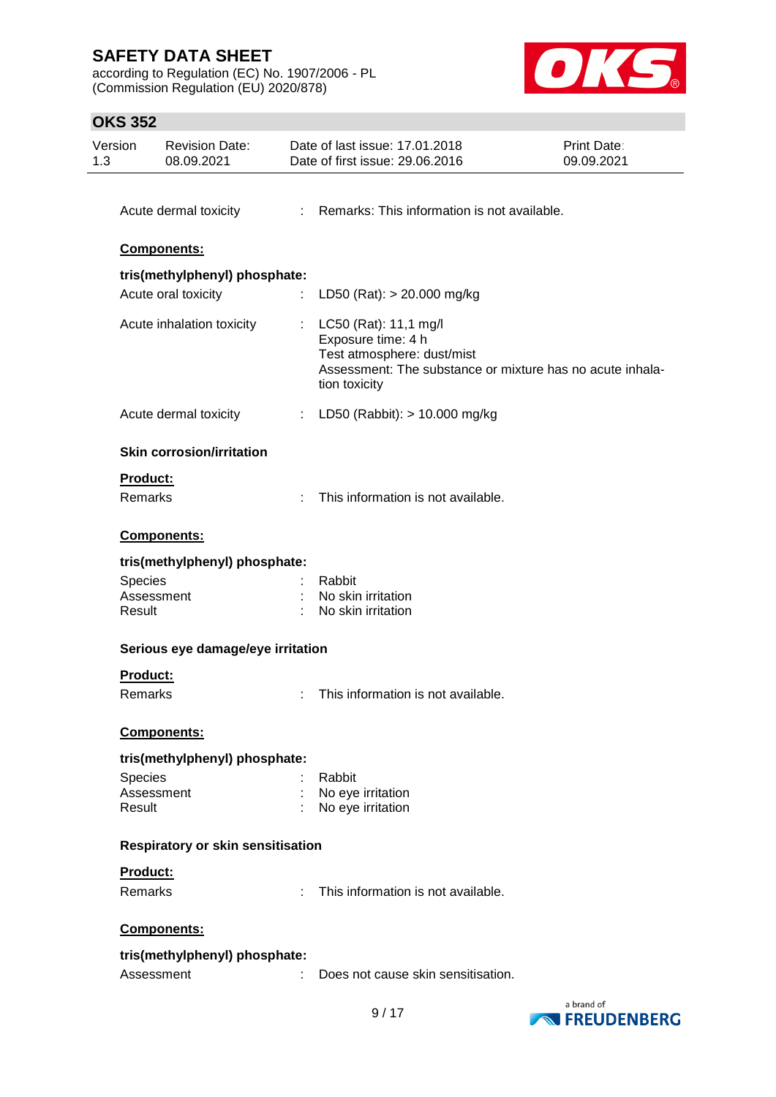according to Regulation (EC) No. 1907/2006 - PL (Commission Regulation (EU) 2020/878)



### **OKS 352**

| Version<br>1.3 | <b>Revision Date:</b><br>08.09.2021 |   | Date of last issue: 17.01.2018<br>Date of first issue: 29.06.2016                                                                                       | Print Date:<br>09.09.2021 |
|----------------|-------------------------------------|---|---------------------------------------------------------------------------------------------------------------------------------------------------------|---------------------------|
|                |                                     |   |                                                                                                                                                         |                           |
|                | Acute dermal toxicity               |   | : Remarks: This information is not available.                                                                                                           |                           |
|                | Components:                         |   |                                                                                                                                                         |                           |
|                | tris(methylphenyl) phosphate:       |   |                                                                                                                                                         |                           |
|                | Acute oral toxicity                 |   | LD50 (Rat): $> 20.000$ mg/kg                                                                                                                            |                           |
|                | Acute inhalation toxicity           | ÷ | LC50 (Rat): 11,1 mg/l<br>Exposure time: 4 h<br>Test atmosphere: dust/mist<br>Assessment: The substance or mixture has no acute inhala-<br>tion toxicity |                           |
|                | Acute dermal toxicity               |   | : LD50 (Rabbit): $> 10.000$ mg/kg                                                                                                                       |                           |
|                | <b>Skin corrosion/irritation</b>    |   |                                                                                                                                                         |                           |
|                | Product:                            |   |                                                                                                                                                         |                           |
|                | Remarks                             |   | This information is not available.                                                                                                                      |                           |
|                | Components:                         |   |                                                                                                                                                         |                           |
|                | tris(methylphenyl) phosphate:       |   |                                                                                                                                                         |                           |
| Species        |                                     |   | Rabbit                                                                                                                                                  |                           |
|                | Assessment                          |   | No skin irritation                                                                                                                                      |                           |
| Result         |                                     |   | No skin irritation                                                                                                                                      |                           |
|                | Serious eye damage/eye irritation   |   |                                                                                                                                                         |                           |
|                | <b>Product:</b>                     |   |                                                                                                                                                         |                           |
|                | Remarks                             |   | This information is not available.                                                                                                                      |                           |
|                | Components:                         |   |                                                                                                                                                         |                           |
|                | tris(methylphenyl) phosphate:       |   |                                                                                                                                                         |                           |
| Species        |                                     |   | Rabbit                                                                                                                                                  |                           |
|                | Assessment                          |   | No eye irritation                                                                                                                                       |                           |
| Result         |                                     |   | No eye irritation                                                                                                                                       |                           |
|                | Respiratory or skin sensitisation   |   |                                                                                                                                                         |                           |
|                | <b>Product:</b>                     |   |                                                                                                                                                         |                           |
|                | Remarks                             | ÷ | This information is not available.                                                                                                                      |                           |
|                | Components:                         |   |                                                                                                                                                         |                           |
|                | tris(methylphenyl) phosphate:       |   |                                                                                                                                                         |                           |
|                | Assessment                          |   | Does not cause skin sensitisation.                                                                                                                      |                           |
|                |                                     |   |                                                                                                                                                         |                           |

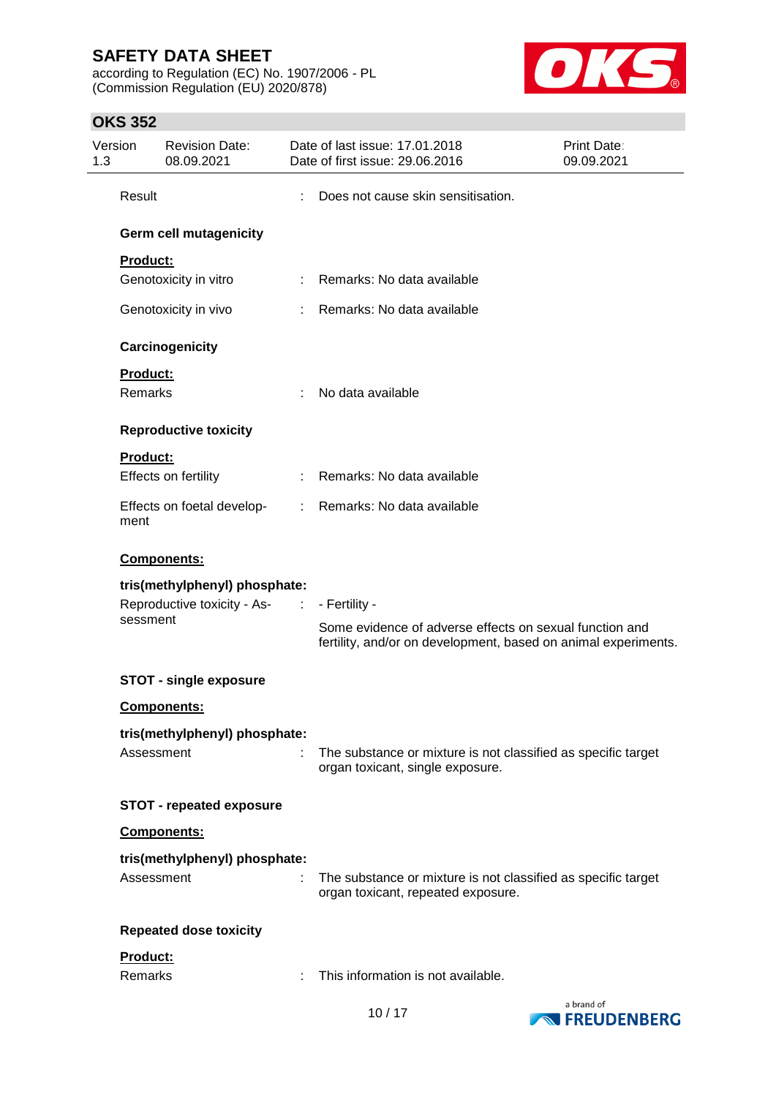according to Regulation (EC) No. 1907/2006 - PL (Commission Regulation (EU) 2020/878)



### **OKS 352**

| Version<br>1.3 |                             | <b>Revision Date:</b><br>08.09.2021 |                           | Date of last issue: 17.01.2018<br>Date of first issue: 29.06.2016                                                         | Print Date:<br>09.09.2021 |
|----------------|-----------------------------|-------------------------------------|---------------------------|---------------------------------------------------------------------------------------------------------------------------|---------------------------|
|                | Result                      |                                     |                           | Does not cause skin sensitisation.                                                                                        |                           |
|                |                             | Germ cell mutagenicity              |                           |                                                                                                                           |                           |
|                | Product:                    |                                     |                           |                                                                                                                           |                           |
|                |                             | Genotoxicity in vitro               |                           | Remarks: No data available                                                                                                |                           |
|                |                             | Genotoxicity in vivo                |                           | Remarks: No data available                                                                                                |                           |
|                |                             | Carcinogenicity                     |                           |                                                                                                                           |                           |
|                | Product:                    |                                     |                           |                                                                                                                           |                           |
|                | <b>Remarks</b>              |                                     | t.                        | No data available                                                                                                         |                           |
|                |                             | <b>Reproductive toxicity</b>        |                           |                                                                                                                           |                           |
|                | <b>Product:</b>             |                                     |                           |                                                                                                                           |                           |
|                |                             | Effects on fertility                | t.                        | Remarks: No data available                                                                                                |                           |
|                | ment                        | Effects on foetal develop-          | $\mathbb{R}^{\mathbb{Z}}$ | Remarks: No data available                                                                                                |                           |
|                |                             | Components:                         |                           |                                                                                                                           |                           |
|                |                             | tris(methylphenyl) phosphate:       |                           |                                                                                                                           |                           |
|                | Reproductive toxicity - As- |                                     | <b>Service</b>            | - Fertility -                                                                                                             |                           |
|                | sessment                    |                                     |                           | Some evidence of adverse effects on sexual function and<br>fertility, and/or on development, based on animal experiments. |                           |
|                |                             | <b>STOT - single exposure</b>       |                           |                                                                                                                           |                           |
|                |                             | Components:                         |                           |                                                                                                                           |                           |
|                |                             | tris(methylphenyl) phosphate:       |                           |                                                                                                                           |                           |
|                | Assessment                  |                                     |                           | The substance or mixture is not classified as specific target<br>organ toxicant, single exposure.                         |                           |
|                |                             | <b>STOT - repeated exposure</b>     |                           |                                                                                                                           |                           |
|                |                             | Components:                         |                           |                                                                                                                           |                           |
|                |                             | tris(methylphenyl) phosphate:       |                           |                                                                                                                           |                           |
|                | Assessment                  |                                     |                           | The substance or mixture is not classified as specific target<br>organ toxicant, repeated exposure.                       |                           |
|                |                             | <b>Repeated dose toxicity</b>       |                           |                                                                                                                           |                           |
|                | Product:                    |                                     |                           |                                                                                                                           |                           |
|                | Remarks                     |                                     |                           | This information is not available.                                                                                        |                           |

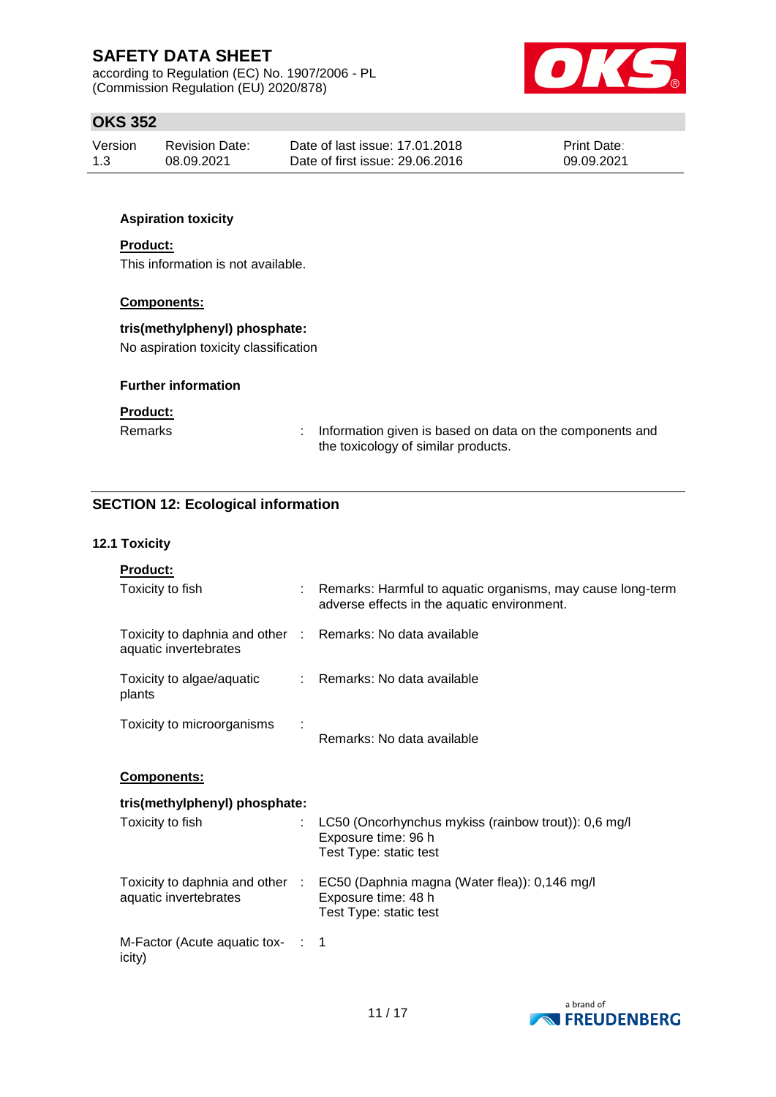according to Regulation (EC) No. 1907/2006 - PL (Commission Regulation (EU) 2020/878)



### **OKS 352**

| Version | Revision Date: | Date of last issue: 17.01.2018  | <b>Print Date:</b> |
|---------|----------------|---------------------------------|--------------------|
| 1.3     | 08.09.2021     | Date of first issue: 29.06.2016 | 09.09.2021         |

### **Aspiration toxicity**

#### **Product:**

This information is not available.

### **Components:**

#### **tris(methylphenyl) phosphate:**

No aspiration toxicity classification

#### **Further information**

#### **Product:**

Remarks : Information given is based on data on the components and the toxicology of similar products.

### **SECTION 12: Ecological information**

#### **12.1 Toxicity**

| <u>Product:</u>                                                                     |                                                                                                                                |
|-------------------------------------------------------------------------------------|--------------------------------------------------------------------------------------------------------------------------------|
| Toxicity to fish                                                                    | : Remarks: Harmful to aquatic organisms, may cause long-term<br>adverse effects in the aquatic environment.                    |
| Toxicity to daphnia and other : Remarks: No data available<br>aquatic invertebrates |                                                                                                                                |
| Toxicity to algae/aquatic<br>plants                                                 | : Remarks: No data available                                                                                                   |
| Toxicity to microorganisms                                                          | Remarks: No data available                                                                                                     |
| Components:                                                                         |                                                                                                                                |
| tris(methylphenyl) phosphate:                                                       |                                                                                                                                |
| Toxicity to fish                                                                    | LC50 (Oncorhynchus mykiss (rainbow trout)): 0,6 mg/l<br>Exposure time: 96 h<br>Test Type: static test                          |
| aquatic invertebrates                                                               | Toxicity to daphnia and other : EC50 (Daphnia magna (Water flea)): 0,146 mg/l<br>Exposure time: 48 h<br>Test Type: static test |
| M-Factor (Acute aquatic tox- : 1<br>icity)                                          |                                                                                                                                |

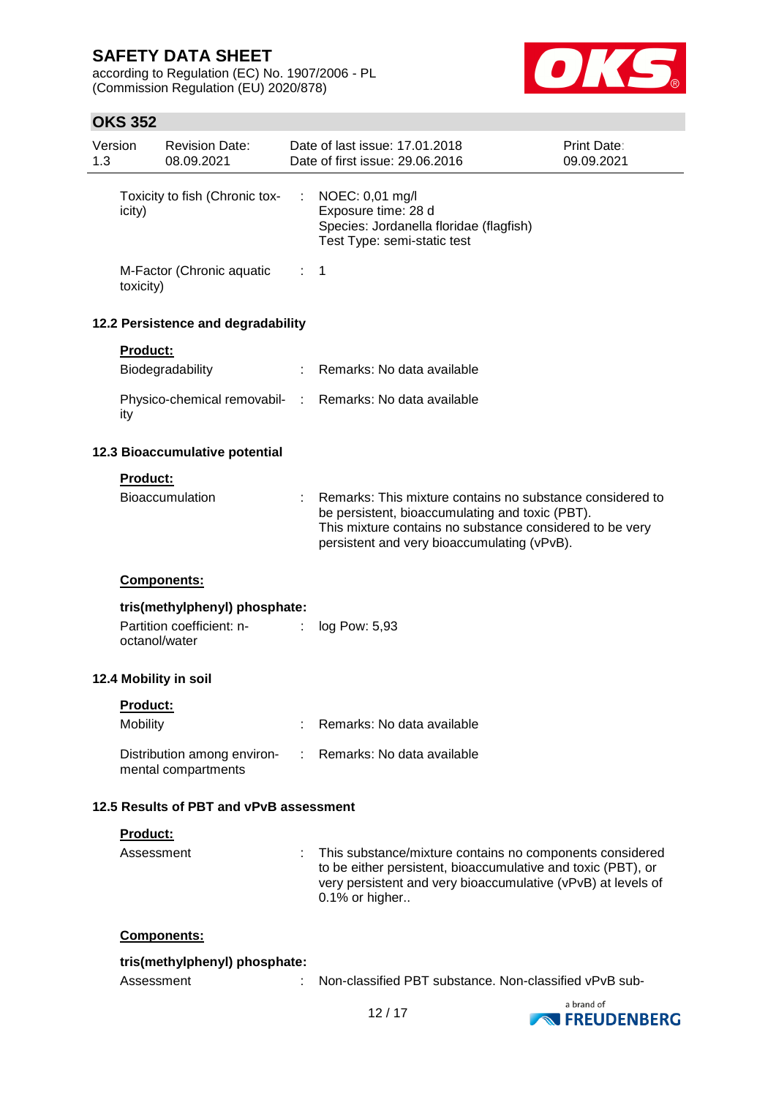according to Regulation (EC) No. 1907/2006 - PL (Commission Regulation (EU) 2020/878)



# **OKS 352**

|     | OKS 352         |                                                    |   |                                                                                                                                                                                                                         |                           |
|-----|-----------------|----------------------------------------------------|---|-------------------------------------------------------------------------------------------------------------------------------------------------------------------------------------------------------------------------|---------------------------|
| 1.3 | Version         | <b>Revision Date:</b><br>08.09.2021                |   | Date of last issue: 17.01.2018<br>Date of first issue: 29.06.2016                                                                                                                                                       | Print Date:<br>09.09.2021 |
|     | icity)          | Toxicity to fish (Chronic tox-                     | ÷ | NOEC: 0,01 mg/l<br>Exposure time: 28 d<br>Species: Jordanella floridae (flagfish)<br>Test Type: semi-static test                                                                                                        |                           |
|     | toxicity)       | M-Factor (Chronic aquatic                          |   | $\therefore$ 1                                                                                                                                                                                                          |                           |
|     |                 | 12.2 Persistence and degradability                 |   |                                                                                                                                                                                                                         |                           |
|     | <b>Product:</b> |                                                    |   |                                                                                                                                                                                                                         |                           |
|     |                 | Biodegradability                                   |   | Remarks: No data available                                                                                                                                                                                              |                           |
|     | ity             | Physico-chemical removabil- :                      |   | Remarks: No data available                                                                                                                                                                                              |                           |
|     |                 | 12.3 Bioaccumulative potential                     |   |                                                                                                                                                                                                                         |                           |
|     | Product:        |                                                    |   |                                                                                                                                                                                                                         |                           |
|     |                 | <b>Bioaccumulation</b>                             |   | Remarks: This mixture contains no substance considered to<br>be persistent, bioaccumulating and toxic (PBT).<br>This mixture contains no substance considered to be very<br>persistent and very bioaccumulating (vPvB). |                           |
|     |                 | Components:                                        |   |                                                                                                                                                                                                                         |                           |
|     |                 | tris(methylphenyl) phosphate:                      |   |                                                                                                                                                                                                                         |                           |
|     |                 | Partition coefficient: n-<br>octanol/water         |   | log Pow: 5,93                                                                                                                                                                                                           |                           |
|     |                 | 12.4 Mobility in soil                              |   |                                                                                                                                                                                                                         |                           |
|     | Product:        |                                                    |   |                                                                                                                                                                                                                         |                           |
|     | <b>Mobility</b> |                                                    |   | Remarks: No data available                                                                                                                                                                                              |                           |
|     |                 |                                                    |   |                                                                                                                                                                                                                         |                           |
|     |                 | Distribution among environ-<br>mental compartments |   | Remarks: No data available                                                                                                                                                                                              |                           |
|     |                 | 12.5 Results of PBT and vPvB assessment            |   |                                                                                                                                                                                                                         |                           |
|     | Product:        |                                                    |   |                                                                                                                                                                                                                         |                           |

| Assessment | : This substance/mixture contains no components considered<br>to be either persistent, bioaccumulative and toxic (PBT), or |
|------------|----------------------------------------------------------------------------------------------------------------------------|
|            | very persistent and very bioaccumulative (vPvB) at levels of<br>$0.1\%$ or higher                                          |

### **Components:**

| tris(methylphenyl) phosphate: |                                                          |  |
|-------------------------------|----------------------------------------------------------|--|
| Assessment                    | : Non-classified PBT substance. Non-classified vPvB sub- |  |

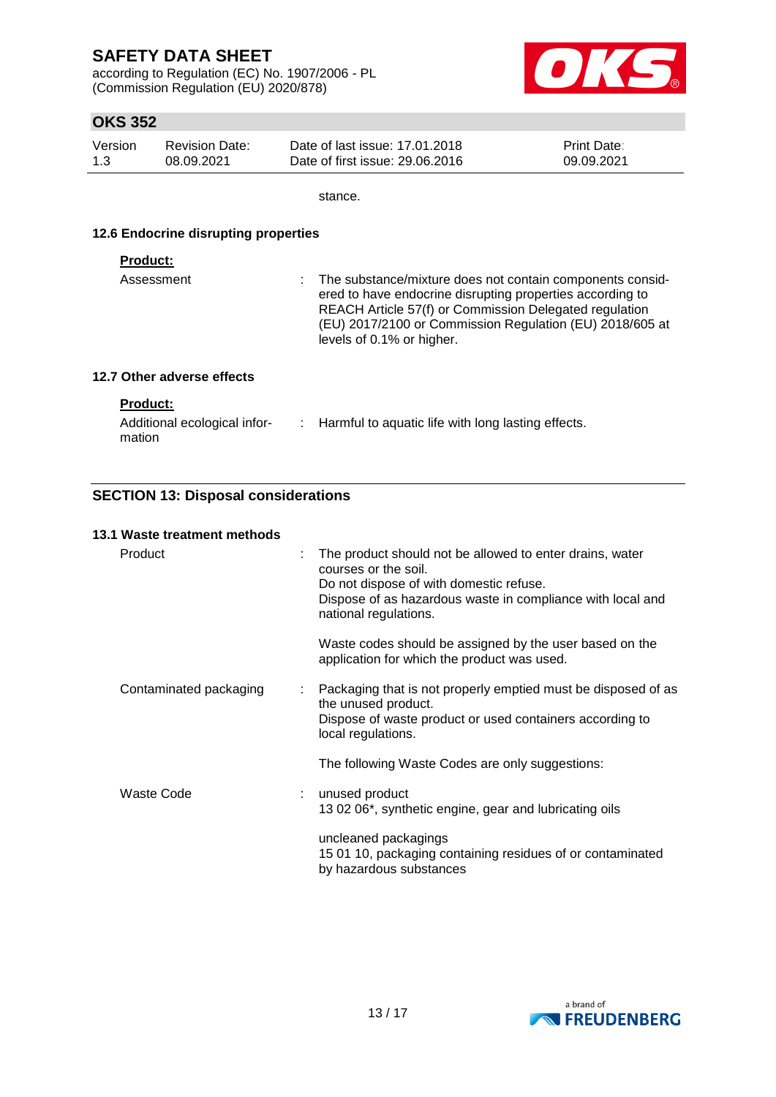according to Regulation (EC) No. 1907/2006 - PL (Commission Regulation (EU) 2020/878)



### **OKS 352**

| Version | <b>Revision Date:</b> | Date of last issue: 17.01.2018  | <b>Print Date:</b> |
|---------|-----------------------|---------------------------------|--------------------|
| 1.3     | 08.09.2021            | Date of first issue: 29,06,2016 | 09.09.2021         |

stance.

#### **12.6 Endocrine disrupting properties**

#### **Product:**

| Assessment | : The substance/mixture does not contain components consid-<br>ered to have endocrine disrupting properties according to<br>REACH Article 57(f) or Commission Delegated regulation<br>(EU) 2017/2100 or Commission Regulation (EU) 2018/605 at<br>levels of 0.1% or higher. |
|------------|-----------------------------------------------------------------------------------------------------------------------------------------------------------------------------------------------------------------------------------------------------------------------------|
|------------|-----------------------------------------------------------------------------------------------------------------------------------------------------------------------------------------------------------------------------------------------------------------------------|

### **12.7 Other adverse effects**

### **Product:**

| Additional ecological infor- | Harmful to aquatic life with long lasting effects. |
|------------------------------|----------------------------------------------------|
| mation                       |                                                    |

### **SECTION 13: Disposal considerations**

#### **13.1 Waste treatment methods**

| Product                | The product should not be allowed to enter drains, water<br>courses or the soil.<br>Do not dispose of with domestic refuse.<br>Dispose of as hazardous waste in compliance with local and<br>national regulations. |
|------------------------|--------------------------------------------------------------------------------------------------------------------------------------------------------------------------------------------------------------------|
|                        | Waste codes should be assigned by the user based on the<br>application for which the product was used.                                                                                                             |
| Contaminated packaging | Packaging that is not properly emptied must be disposed of as<br>the unused product.<br>Dispose of waste product or used containers according to<br>local regulations.                                             |
|                        | The following Waste Codes are only suggestions:                                                                                                                                                                    |
| Waste Code             | unused product<br>13 02 06*, synthetic engine, gear and lubricating oils                                                                                                                                           |
|                        | uncleaned packagings<br>15 01 10, packaging containing residues of or contaminated<br>by hazardous substances                                                                                                      |

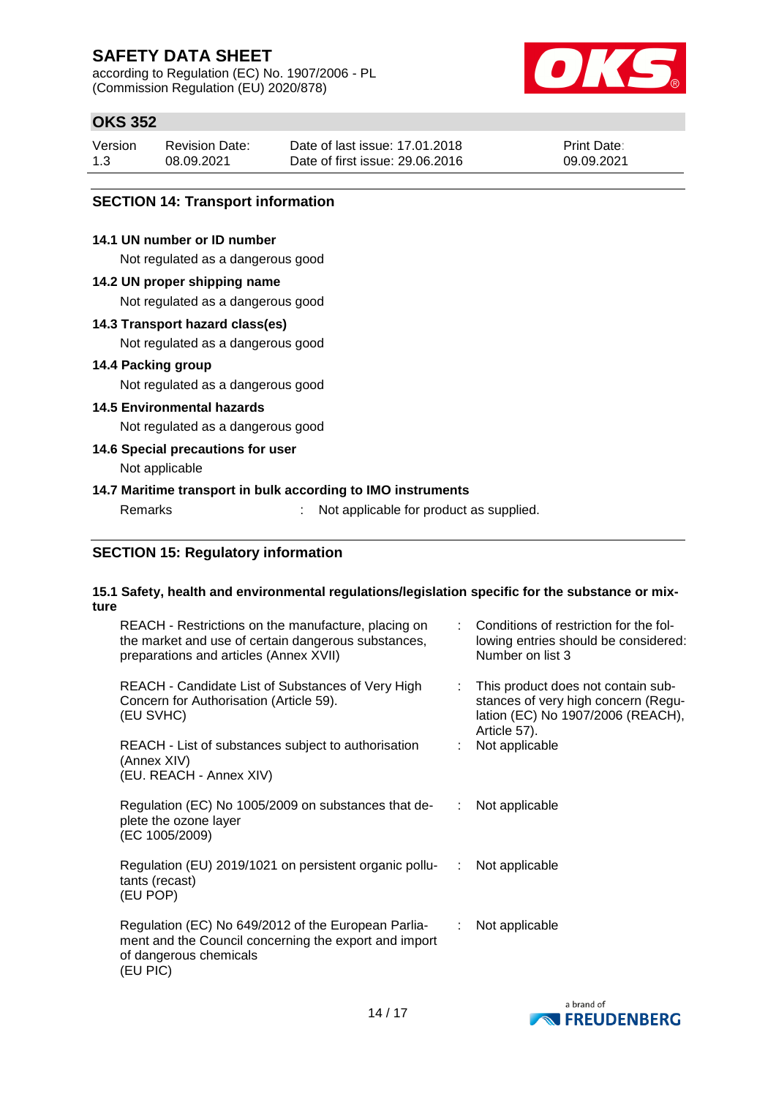according to Regulation (EC) No. 1907/2006 - PL (Commission Regulation (EU) 2020/878)



### **OKS 352**

| Version | <b>Revision Date:</b> | Date of last issue: 17,01,2018  | <b>Print Date:</b> |
|---------|-----------------------|---------------------------------|--------------------|
| 1.3     | 08.09.2021            | Date of first issue: 29.06.2016 | 09.09.2021         |

### **SECTION 14: Transport information**

### **14.1 UN number or ID number**

Not regulated as a dangerous good

#### **14.2 UN proper shipping name**

Not regulated as a dangerous good

#### **14.3 Transport hazard class(es)**

Not regulated as a dangerous good

### **14.4 Packing group**

Not regulated as a dangerous good

### **14.5 Environmental hazards**

Not regulated as a dangerous good

### **14.6 Special precautions for user**

Not applicable

### **14.7 Maritime transport in bulk according to IMO instruments**

Remarks : Not applicable for product as supplied.

### **SECTION 15: Regulatory information**

#### **15.1 Safety, health and environmental regulations/legislation specific for the substance or mixture**

| REACH - Restrictions on the manufacture, placing on<br>the market and use of certain dangerous substances,<br>preparations and articles (Annex XVII) |               | Conditions of restriction for the fol-<br>lowing entries should be considered:<br>Number on list 3                             |
|------------------------------------------------------------------------------------------------------------------------------------------------------|---------------|--------------------------------------------------------------------------------------------------------------------------------|
| REACH - Candidate List of Substances of Very High<br>Concern for Authorisation (Article 59).<br>(EU SVHC)                                            | ÷.            | This product does not contain sub-<br>stances of very high concern (Regu-<br>lation (EC) No 1907/2006 (REACH),<br>Article 57). |
| REACH - List of substances subject to authorisation<br>(Annex XIV)<br>(EU. REACH - Annex XIV)                                                        |               | Not applicable                                                                                                                 |
| Regulation (EC) No 1005/2009 on substances that de-<br>plete the ozone layer<br>(EC 1005/2009)                                                       |               | Not applicable                                                                                                                 |
| Regulation (EU) 2019/1021 on persistent organic pollu-<br>tants (recast)<br>(EU POP)                                                                 | $\mathcal{L}$ | Not applicable                                                                                                                 |
| Regulation (EC) No 649/2012 of the European Parlia-<br>ment and the Council concerning the export and import<br>of dangerous chemicals<br>(EU PIC)   | ÷.            | Not applicable                                                                                                                 |

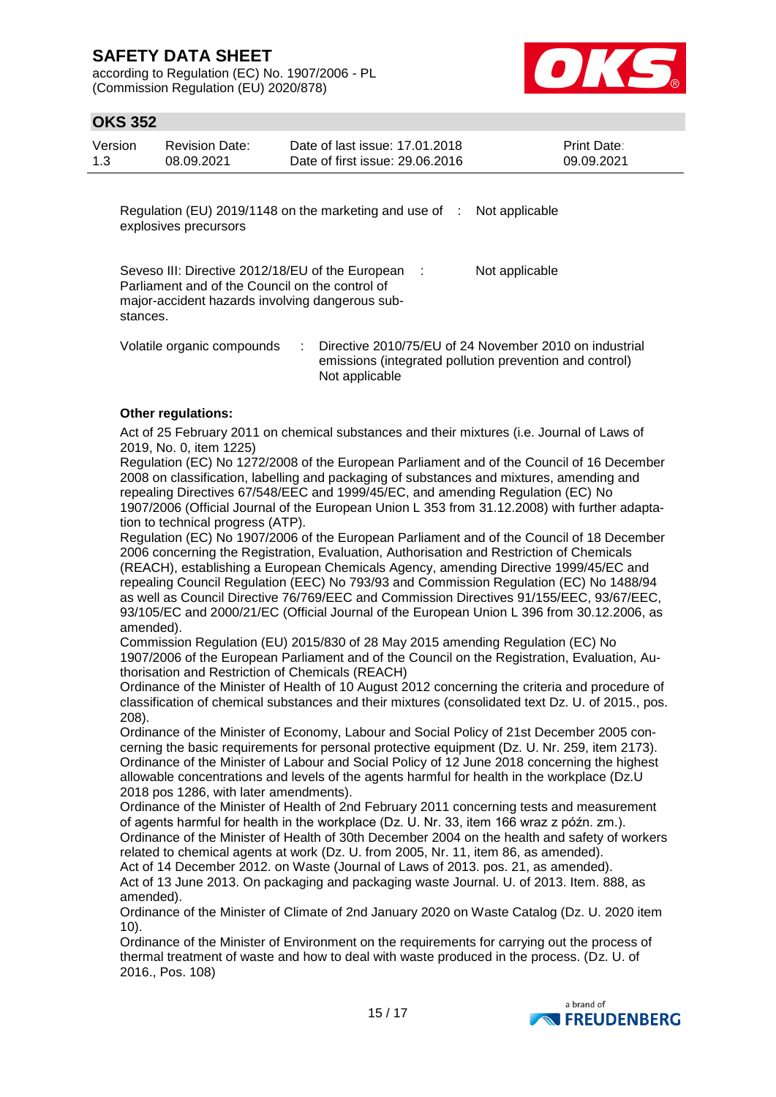according to Regulation (EC) No. 1907/2006 - PL (Commission Regulation (EU) 2020/878)



### **OKS 352**

| Version<br>1.3 | <b>Revision Date:</b><br>08.09.2021                                                                | Date of last issue: 17.01.2018<br>Date of first issue: 29.06.2016 | Print Date:<br>09.09.2021 |
|----------------|----------------------------------------------------------------------------------------------------|-------------------------------------------------------------------|---------------------------|
|                | explosives precursors                                                                              | Regulation (EU) 2019/1148 on the marketing and use of :           | Not applicable            |
| stances.       | Parliament and of the Council on the control of<br>major-accident hazards involving dangerous sub- | Seveso III: Directive 2012/18/EU of the European :                | Not applicable            |

Volatile organic compounds : Directive 2010/75/EU of 24 November 2010 on industrial emissions (integrated pollution prevention and control) Not applicable

### **Other regulations:**

Act of 25 February 2011 on chemical substances and their mixtures (i.e. Journal of Laws of 2019, No. 0, item 1225)

Regulation (EC) No 1272/2008 of the European Parliament and of the Council of 16 December 2008 on classification, labelling and packaging of substances and mixtures, amending and repealing Directives 67/548/EEC and 1999/45/EC, and amending Regulation (EC) No 1907/2006 (Official Journal of the European Union L 353 from 31.12.2008) with further adaptation to technical progress (ATP).

Regulation (EC) No 1907/2006 of the European Parliament and of the Council of 18 December 2006 concerning the Registration, Evaluation, Authorisation and Restriction of Chemicals (REACH), establishing a European Chemicals Agency, amending Directive 1999/45/EC and repealing Council Regulation (EEC) No 793/93 and Commission Regulation (EC) No 1488/94 as well as Council Directive 76/769/EEC and Commission Directives 91/155/EEC, 93/67/EEC, 93/105/EC and 2000/21/EC (Official Journal of the European Union L 396 from 30.12.2006, as amended).

Commission Regulation (EU) 2015/830 of 28 May 2015 amending Regulation (EC) No 1907/2006 of the European Parliament and of the Council on the Registration, Evaluation, Authorisation and Restriction of Chemicals (REACH)

Ordinance of the Minister of Health of 10 August 2012 concerning the criteria and procedure of classification of chemical substances and their mixtures (consolidated text Dz. U. of 2015., pos. 208).

Ordinance of the Minister of Economy, Labour and Social Policy of 21st December 2005 concerning the basic requirements for personal protective equipment (Dz. U. Nr. 259, item 2173). Ordinance of the Minister of Labour and Social Policy of 12 June 2018 concerning the highest allowable concentrations and levels of the agents harmful for health in the workplace (Dz.U 2018 pos 1286, with later amendments).

Ordinance of the Minister of Health of 2nd February 2011 concerning tests and measurement of agents harmful for health in the workplace (Dz. U. Nr. 33, item 166 wraz z późn. zm.). Ordinance of the Minister of Health of 30th December 2004 on the health and safety of workers related to chemical agents at work (Dz. U. from 2005, Nr. 11, item 86, as amended). Act of 14 December 2012. on Waste (Journal of Laws of 2013. pos. 21, as amended).

Act of 13 June 2013. On packaging and packaging waste Journal. U. of 2013. Item. 888, as amended).

Ordinance of the Minister of Climate of 2nd January 2020 on Waste Catalog (Dz. U. 2020 item 10).

Ordinance of the Minister of Environment on the requirements for carrying out the process of thermal treatment of waste and how to deal with waste produced in the process. (Dz. U. of 2016., Pos. 108)

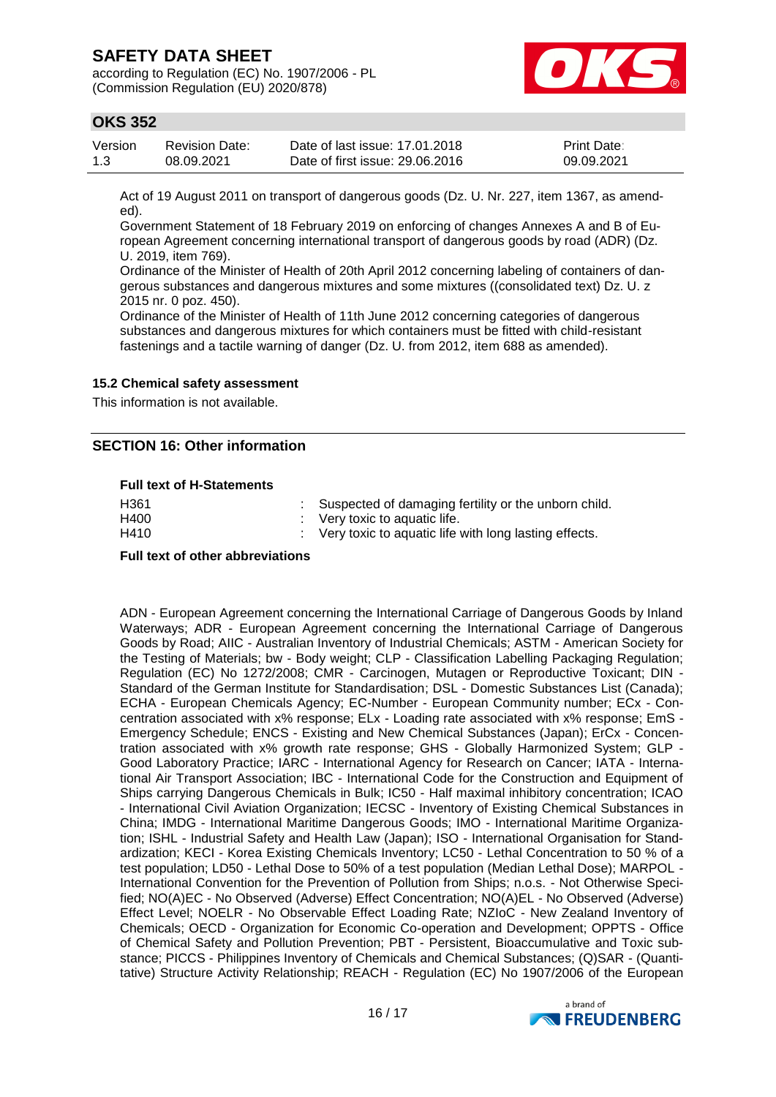according to Regulation (EC) No. 1907/2006 - PL (Commission Regulation (EU) 2020/878)



### **OKS 352**

| Version | Revision Date: | Date of last issue: 17.01.2018  | <b>Print Date:</b> |
|---------|----------------|---------------------------------|--------------------|
| 1.3     | 08.09.2021     | Date of first issue: 29.06.2016 | 09.09.2021         |

Act of 19 August 2011 on transport of dangerous goods (Dz. U. Nr. 227, item 1367, as amended).

Government Statement of 18 February 2019 on enforcing of changes Annexes A and B of European Agreement concerning international transport of dangerous goods by road (ADR) (Dz. U. 2019, item 769).

Ordinance of the Minister of Health of 20th April 2012 concerning labeling of containers of dangerous substances and dangerous mixtures and some mixtures ((consolidated text) Dz. U. z 2015 nr. 0 poz. 450).

Ordinance of the Minister of Health of 11th June 2012 concerning categories of dangerous substances and dangerous mixtures for which containers must be fitted with child-resistant fastenings and a tactile warning of danger (Dz. U. from 2012, item 688 as amended).

#### **15.2 Chemical safety assessment**

This information is not available.

### **SECTION 16: Other information**

#### **Full text of H-Statements**

| H <sub>361</sub> | : Suspected of damaging fertility or the unborn child.  |
|------------------|---------------------------------------------------------|
| H400             | $\therefore$ Very toxic to aquatic life.                |
| H410             | : Very toxic to aquatic life with long lasting effects. |

#### **Full text of other abbreviations**

ADN - European Agreement concerning the International Carriage of Dangerous Goods by Inland Waterways; ADR - European Agreement concerning the International Carriage of Dangerous Goods by Road; AIIC - Australian Inventory of Industrial Chemicals; ASTM - American Society for the Testing of Materials; bw - Body weight; CLP - Classification Labelling Packaging Regulation; Regulation (EC) No 1272/2008; CMR - Carcinogen, Mutagen or Reproductive Toxicant; DIN - Standard of the German Institute for Standardisation; DSL - Domestic Substances List (Canada); ECHA - European Chemicals Agency; EC-Number - European Community number; ECx - Concentration associated with x% response; ELx - Loading rate associated with x% response; EmS - Emergency Schedule; ENCS - Existing and New Chemical Substances (Japan); ErCx - Concentration associated with x% growth rate response; GHS - Globally Harmonized System; GLP - Good Laboratory Practice; IARC - International Agency for Research on Cancer; IATA - International Air Transport Association; IBC - International Code for the Construction and Equipment of Ships carrying Dangerous Chemicals in Bulk; IC50 - Half maximal inhibitory concentration; ICAO - International Civil Aviation Organization; IECSC - Inventory of Existing Chemical Substances in China; IMDG - International Maritime Dangerous Goods; IMO - International Maritime Organization; ISHL - Industrial Safety and Health Law (Japan); ISO - International Organisation for Standardization; KECI - Korea Existing Chemicals Inventory; LC50 - Lethal Concentration to 50 % of a test population; LD50 - Lethal Dose to 50% of a test population (Median Lethal Dose); MARPOL - International Convention for the Prevention of Pollution from Ships; n.o.s. - Not Otherwise Specified; NO(A)EC - No Observed (Adverse) Effect Concentration; NO(A)EL - No Observed (Adverse) Effect Level; NOELR - No Observable Effect Loading Rate; NZIoC - New Zealand Inventory of Chemicals; OECD - Organization for Economic Co-operation and Development; OPPTS - Office of Chemical Safety and Pollution Prevention; PBT - Persistent, Bioaccumulative and Toxic substance; PICCS - Philippines Inventory of Chemicals and Chemical Substances; (Q)SAR - (Quantitative) Structure Activity Relationship; REACH - Regulation (EC) No 1907/2006 of the European